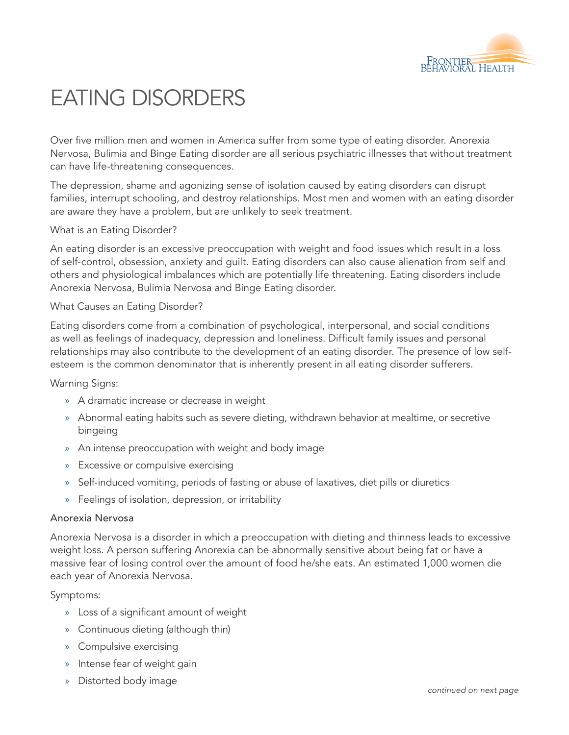

# EATING DISORDERS

Over five million men and women in America suffer from some type of eating disorder. Anorexia Nervosa, Bulimia and Binge Eating disorder are all serious psychiatric illnesses that without treatment can have life-threatening consequences.

The depression, shame and agonizing sense of isolation caused by eating disorders can disrupt families, interrupt schooling, and destroy relationships. Most men and women with an eating disorder are aware they have a problem, but are unlikely to seek treatment.

### What is an Eating Disorder?

An eating disorder is an excessive preoccupation with weight and food issues which result in a loss of self-control, obsession, anxiety and guilt. Eating disorders can also cause alienation from self and others and physiological imbalances which are potentially life threatening. Eating disorders include Anorexia Nervosa, Bulimia Nervosa and Binge Eating disorder.

### What Causes an Eating Disorder?

Eating disorders come from a combination of psychological, interpersonal, and social conditions as well as feelings of inadequacy, depression and loneliness. Difficult family issues and personal relationships may also contribute to the development of an eating disorder. The presence of low selfesteem is the common denominator that is inherently present in all eating disorder sufferers.

Warning Signs:

- » A dramatic increase or decrease in weight
- » Abnormal eating habits such as severe dieting, withdrawn behavior at mealtime, or secretive bingeing
- » An intense preoccupation with weight and body image
- » Excessive or compulsive exercising
- » Self-induced vomiting, periods of fasting or abuse of laxatives, diet pills or diuretics
- » Feelings of isolation, depression, or irritability

### Anorexia Nervosa

Anorexia Nervosa is a disorder in which a preoccupation with dieting and thinness leads to excessive weight loss. A person suffering Anorexia can be abnormally sensitive about being fat or have a massive fear of losing control over the amount of food he/she eats. An estimated 1,000 women die each year of Anorexia Nervosa.

### Symptoms:

- » Loss of a significant amount of weight
- » Continuous dieting (although thin)
- » Compulsive exercising
- » Intense fear of weight gain
- » Distorted body image